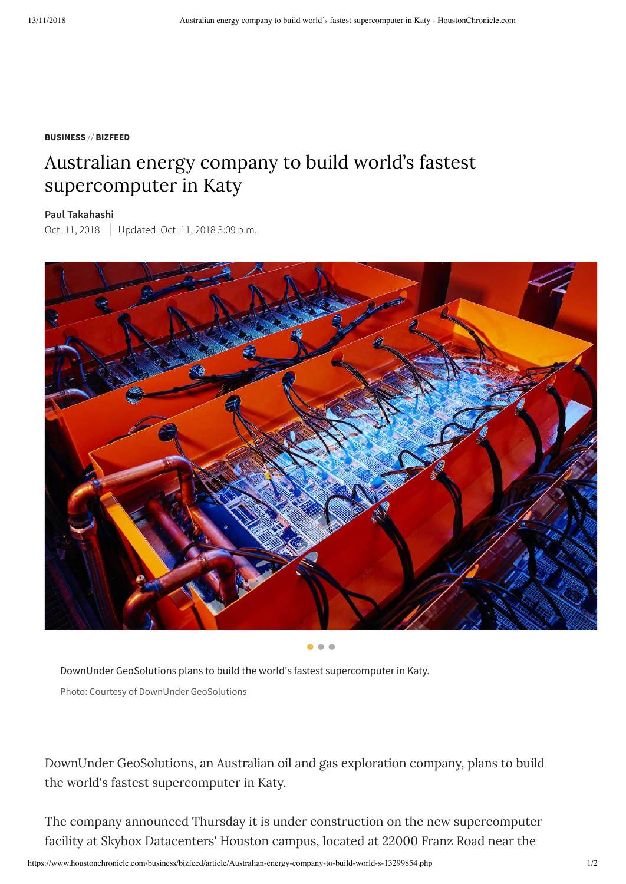#### **BUSINESS** // **BIZFEED**

## Australian energy company to build world's fastest supercomputer in Katy

#### **Paul [Takahashi](https://www.houstonchronicle.com/author/paul-takahashi/)**

Oct. 11, 2018 Updated: Oct. 11, 2018 3:09 p.m.



 $\bullet\bullet\bullet$ 

DownUnder GeoSolutions plans to build the world's fastest supercomputer in Katy. Photo: Courtesy of DownUnder GeoSolutions

DownUnder GeoSolutions, an Australian oil and gas exploration company, plans to build the world's fastest supercomputer in Katy.

The company announced Thursday it is under construction on the new supercomputer facility at Skybox Datacenters' Houston campus, located at 22000 Franz Road near the